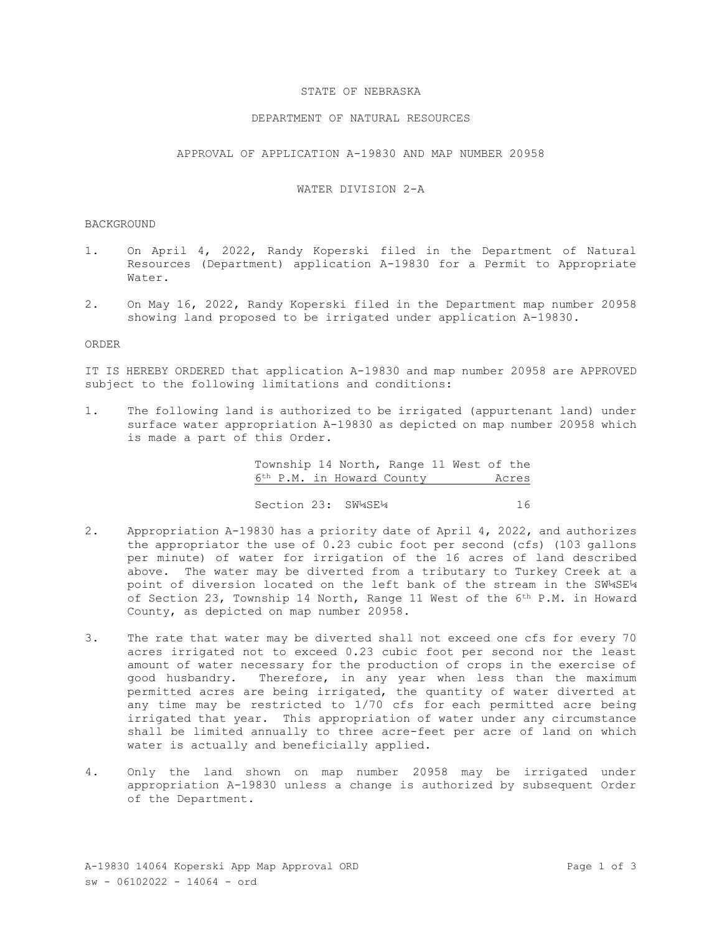## STATE OF NEBRASKA

## DEPARTMENT OF NATURAL RESOURCES

APPROVAL OF APPLICATION A-19830 AND MAP NUMBER 20958

# WATER DIVISION 2-A

#### BACKGROUND

- 1. On April 4, 2022, Randy Koperski filed in the Department of Natural Resources (Department) application A-19830 for a Permit to Appropriate Water.
- 2. On May 16, 2022, Randy Koperski filed in the Department map number 20958 showing land proposed to be irrigated under application A-19830.

## ORDER

IT IS HEREBY ORDERED that application A-19830 and map number 20958 are APPROVED subject to the following limitations and conditions:

1. The following land is authorized to be irrigated (appurtenant land) under surface water appropriation A-19830 as depicted on map number 20958 which is made a part of this Order.

> Township 14 North, Range 11 West of the 6th P.M. in Howard County Acres

> Section 23: SW¼SE¼ 16

- 2. Appropriation A-19830 has a priority date of April 4, 2022, and authorizes the appropriator the use of 0.23 cubic foot per second (cfs) (103 gallons per minute) of water for irrigation of the 16 acres of land described above. The water may be diverted from a tributary to Turkey Creek at a point of diversion located on the left bank of the stream in the SW¼SE¼ of Section 23, Township 14 North, Range 11 West of the 6th P.M. in Howard County, as depicted on map number 20958.
- 3. The rate that water may be diverted shall not exceed one cfs for every 70 acres irrigated not to exceed 0.23 cubic foot per second nor the least amount of water necessary for the production of crops in the exercise of good husbandry.Therefore, in any year when less than the maximum permitted acres are being irrigated, the quantity of water diverted at any time may be restricted to 1/70 cfs for each permitted acre being irrigated that year. This appropriation of water under any circumstance shall be limited annually to three acre-feet per acre of land on which water is actually and beneficially applied.
- 4. Only the land shown on map number 20958 may be irrigated under appropriation A-19830 unless a change is authorized by subsequent Order of the Department.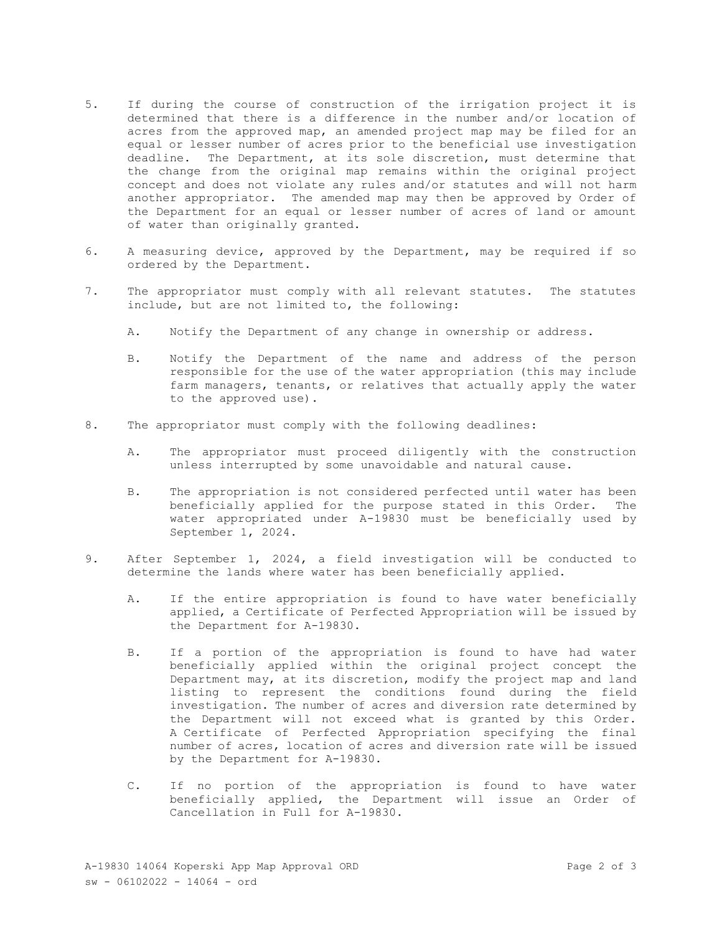- 5. If during the course of construction of the irrigation project it is determined that there is a difference in the number and/or location of acres from the approved map, an amended project map may be filed for an equal or lesser number of acres prior to the beneficial use investigation deadline. The Department, at its sole discretion, must determine that the change from the original map remains within the original project concept and does not violate any rules and/or statutes and will not harm another appropriator. The amended map may then be approved by Order of the Department for an equal or lesser number of acres of land or amount of water than originally granted.
- 6. A measuring device, approved by the Department, may be required if so ordered by the Department.
- 7. The appropriator must comply with all relevant statutes. The statutes include, but are not limited to, the following:
	- A. Notify the Department of any change in ownership or address.
	- B. Notify the Department of the name and address of the person responsible for the use of the water appropriation (this may include farm managers, tenants, or relatives that actually apply the water to the approved use).
- 8. The appropriator must comply with the following deadlines:
	- A. The appropriator must proceed diligently with the construction unless interrupted by some unavoidable and natural cause.
	- B. The appropriation is not considered perfected until water has been beneficially applied for the purpose stated in this Order. The water appropriated under A-19830 must be beneficially used by September 1, 2024.
- 9. After September 1, 2024, a field investigation will be conducted to determine the lands where water has been beneficially applied.
	- A. If the entire appropriation is found to have water beneficially applied, a Certificate of Perfected Appropriation will be issued by the Department for A-19830.
	- B. If a portion of the appropriation is found to have had water beneficially applied within the original project concept the Department may, at its discretion, modify the project map and land listing to represent the conditions found during the field investigation. The number of acres and diversion rate determined by the Department will not exceed what is granted by this Order. A Certificate of Perfected Appropriation specifying the final number of acres, location of acres and diversion rate will be issued by the Department for A-19830.
	- C. If no portion of the appropriation is found to have water beneficially applied, the Department will issue an Order of Cancellation in Full for A-19830.